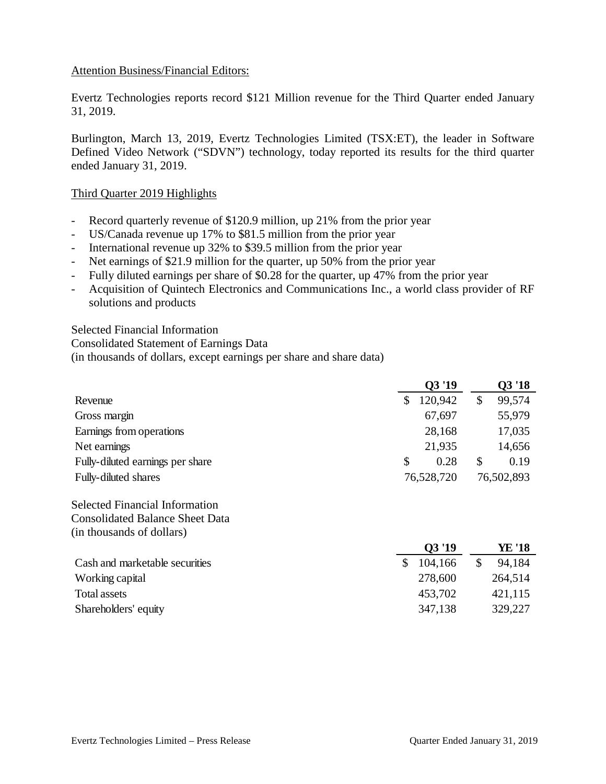## Attention Business/Financial Editors:

Evertz Technologies reports record \$121 Million revenue for the Third Quarter ended January 31, 2019.

Burlington, March 13, 2019, Evertz Technologies Limited (TSX:ET), the leader in Software Defined Video Network ("SDVN") technology, today reported its results for the third quarter ended January 31, 2019.

### Third Quarter 2019 Highlights

- Record quarterly revenue of \$120.9 million, up 21% from the prior year
- US/Canada revenue up 17% to \$81.5 million from the prior year
- International revenue up 32% to \$39.5 million from the prior year
- Net earnings of \$21.9 million for the quarter, up 50% from the prior year
- Fully diluted earnings per share of \$0.28 for the quarter, up 47% from the prior year
- Acquisition of Quintech Electronics and Communications Inc., a world class provider of RF solutions and products

Selected Financial Information Consolidated Statement of Earnings Data (in thousands of dollars, except earnings per share and share data)

|                                        | 03'19         |    | Q3 '18     |  |
|----------------------------------------|---------------|----|------------|--|
| Revenue                                | \$<br>120,942 | \$ | 99,574     |  |
| Gross margin                           | 67,697        |    | 55,979     |  |
| Earnings from operations               | 28,168        |    | 17,035     |  |
| Net earnings                           | 21,935        |    | 14,656     |  |
| Fully-diluted earnings per share       | \$<br>0.28    | \$ | 0.19       |  |
| Fully-diluted shares                   | 76,528,720    |    | 76,502,893 |  |
| <b>Selected Financial Information</b>  |               |    |            |  |
| <b>Consolidated Balance Sheet Data</b> |               |    |            |  |

(in thousands of dollars)

|                                | 03 '19  | YE '18  |
|--------------------------------|---------|---------|
| Cash and marketable securities | 104,166 | 94.184  |
| Working capital                | 278,600 | 264,514 |
| Total assets                   | 453,702 | 421,115 |
| Shareholders' equity           | 347,138 | 329,227 |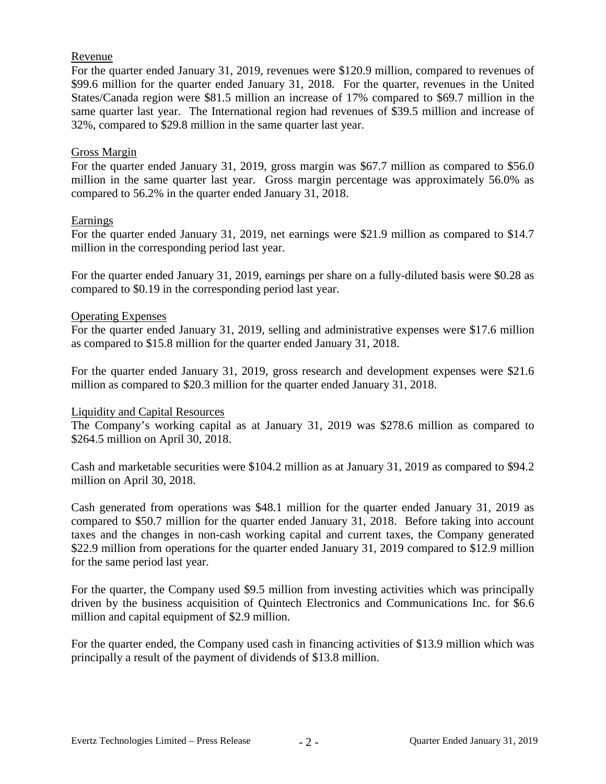## Revenue

For the quarter ended January 31, 2019, revenues were \$120.9 million, compared to revenues of \$99.6 million for the quarter ended January 31, 2018. For the quarter, revenues in the United States/Canada region were \$81.5 million an increase of 17% compared to \$69.7 million in the same quarter last year. The International region had revenues of \$39.5 million and increase of 32%, compared to \$29.8 million in the same quarter last year.

### Gross Margin

For the quarter ended January 31, 2019, gross margin was \$67.7 million as compared to \$56.0 million in the same quarter last year. Gross margin percentage was approximately 56.0% as compared to 56.2% in the quarter ended January 31, 2018.

### Earnings

For the quarter ended January 31, 2019, net earnings were \$21.9 million as compared to \$14.7 million in the corresponding period last year.

For the quarter ended January 31, 2019, earnings per share on a fully-diluted basis were \$0.28 as compared to \$0.19 in the corresponding period last year.

### Operating Expenses

For the quarter ended January 31, 2019, selling and administrative expenses were \$17.6 million as compared to \$15.8 million for the quarter ended January 31, 2018.

For the quarter ended January 31, 2019, gross research and development expenses were \$21.6 million as compared to \$20.3 million for the quarter ended January 31, 2018.

### Liquidity and Capital Resources

The Company's working capital as at January 31, 2019 was \$278.6 million as compared to \$264.5 million on April 30, 2018.

Cash and marketable securities were \$104.2 million as at January 31, 2019 as compared to \$94.2 million on April 30, 2018.

Cash generated from operations was \$48.1 million for the quarter ended January 31, 2019 as compared to \$50.7 million for the quarter ended January 31, 2018. Before taking into account taxes and the changes in non-cash working capital and current taxes, the Company generated \$22.9 million from operations for the quarter ended January 31, 2019 compared to \$12.9 million for the same period last year.

For the quarter, the Company used \$9.5 million from investing activities which was principally driven by the business acquisition of Quintech Electronics and Communications Inc. for \$6.6 million and capital equipment of \$2.9 million.

For the quarter ended, the Company used cash in financing activities of \$13.9 million which was principally a result of the payment of dividends of \$13.8 million.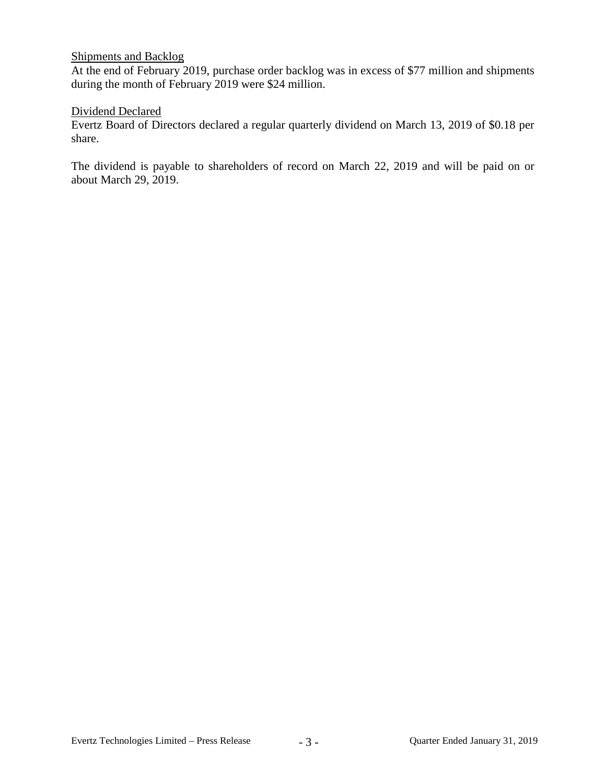## Shipments and Backlog

At the end of February 2019, purchase order backlog was in excess of \$77 million and shipments during the month of February 2019 were \$24 million.

## Dividend Declared

Evertz Board of Directors declared a regular quarterly dividend on March 13, 2019 of \$0.18 per share.

The dividend is payable to shareholders of record on March 22, 2019 and will be paid on or about March 29, 2019.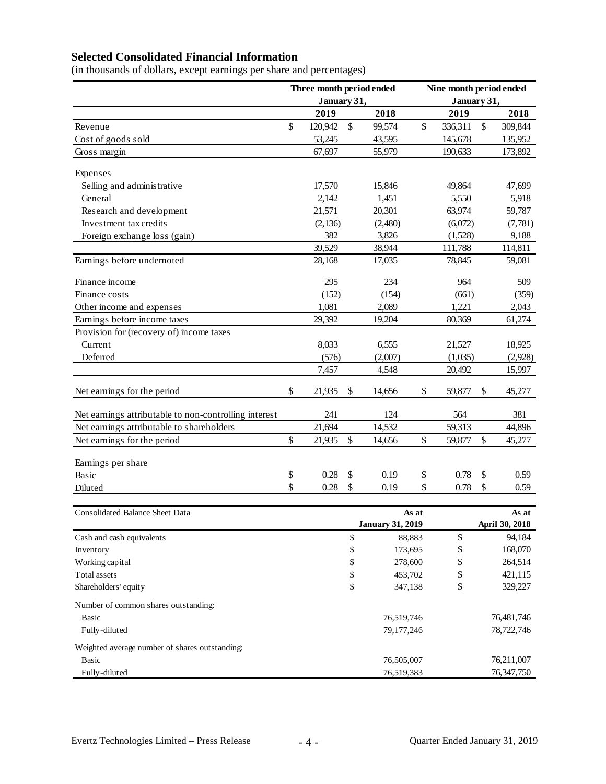# **Selected Consolidated Financial Information**

(in thousands of dollars, except earnings per share and percentages)

|                                                       | Three month period ended |             |          | Nine month period ended |        |             |    |                    |
|-------------------------------------------------------|--------------------------|-------------|----------|-------------------------|--------|-------------|----|--------------------|
|                                                       |                          | January 31, |          |                         |        | January 31, |    |                    |
|                                                       |                          | 2019        |          | 2018                    |        | 2019        |    | 2018               |
| Revenue                                               | \$                       | 120,942     | \$       | 99,574                  | \$     | 336,311     | \$ | 309,844            |
| Cost of goods sold                                    |                          | 53,245      |          | 43,595                  |        | 145,678     |    | 135,952            |
| Gross margin                                          |                          | 67,697      |          | 55,979                  |        | 190,633     |    | 173,892            |
| Expenses                                              |                          |             |          |                         |        |             |    |                    |
| Selling and administrative                            |                          | 17,570      |          | 15,846                  |        | 49,864      |    | 47,699             |
| General                                               |                          | 2,142       |          | 1,451                   |        | 5,550       |    | 5,918              |
| Research and development                              |                          | 21,571      |          | 20,301                  |        | 63,974      |    | 59,787             |
| Investment tax credits                                |                          | (2, 136)    |          | (2,480)                 |        | (6,072)     |    | (7, 781)           |
| Foreign exchange loss (gain)                          |                          | 382         |          | 3,826                   |        | (1,528)     |    | 9,188              |
|                                                       |                          | 39,529      |          | 38,944                  |        | 111,788     |    | 114,811            |
| Earnings before undernoted                            |                          | 28,168      |          | 17,035                  |        | 78,845      |    | 59,081             |
| Finance income                                        |                          | 295         |          | 234                     |        | 964         |    | 509                |
| Finance costs                                         |                          | (152)       |          | (154)                   |        | (661)       |    | (359)              |
| Other income and expenses                             |                          | 1,081       |          | 2,089                   |        | 1,221       |    | 2,043              |
| Earnings before income taxes                          |                          | 29,392      |          | 19,204                  |        | 80,369      |    | 61,274             |
| Provision for (recovery of) income taxes              |                          |             |          |                         |        |             |    |                    |
| Current                                               |                          | 8,033       |          | 6,555                   |        | 21,527      |    | 18,925             |
| Deferred                                              |                          | (576)       |          | (2,007)                 |        | (1,035)     |    | (2,928)            |
|                                                       |                          | 7,457       |          | 4,548                   |        | 20,492      |    | 15,997             |
| Net earnings for the period                           | \$                       | 21,935      | \$       | 14,656                  | \$     | 59,877      | \$ | 45,277             |
| Net earnings attributable to non-controlling interest |                          | 241         |          | 124                     |        | 564         |    | 381                |
| Net earnings attributable to shareholders             |                          | 21,694      |          | 14,532                  |        | 59,313      |    | 44,896             |
| Net earnings for the period                           | $\mathsf{\$}$            | 21,935      | \$       | 14,656                  | \$     | 59,877      | \$ | 45,277             |
| Earnings per share                                    |                          |             |          |                         |        |             |    |                    |
| Basic                                                 | \$                       | 0.28        | \$       | 0.19                    | \$     | 0.78        | \$ | 0.59               |
| Diluted                                               | \$                       | 0.28        | \$       | 0.19                    | \$     | 0.78        | \$ | 0.59               |
|                                                       |                          |             |          |                         |        |             |    |                    |
| <b>Consolidated Balance Sheet Data</b>                |                          |             |          |                         | As at  |             |    | As at              |
|                                                       |                          |             |          | <b>January 31, 2019</b> | 88,883 |             |    | April 30, 2018     |
| Cash and cash equivalents<br>Inventory                |                          |             | \$       |                         |        | \$          |    | 94,184             |
|                                                       |                          |             | \$       | 173,695                 |        | \$          |    | 168,070            |
| Working capital                                       |                          |             | \$       | 278,600<br>453,702      |        | \$          |    | 264,514<br>421,115 |
| Total assets<br>Shareholders' equity                  |                          |             | \$<br>\$ | 347,138                 |        | \$<br>\$    |    | 329,227            |
|                                                       |                          |             |          |                         |        |             |    |                    |
| Number of common shares outstanding:                  |                          |             |          |                         |        |             |    |                    |
| <b>Basic</b>                                          |                          |             |          | 76,519,746              |        |             |    | 76,481,746         |
| Fully-diluted                                         |                          |             |          | 79,177,246              |        |             |    | 78,722,746         |
| Weighted average number of shares outstanding:        |                          |             |          |                         |        |             |    |                    |
| <b>Basic</b>                                          |                          |             |          | 76,505,007              |        |             |    | 76,211,007         |
| Fully-diluted                                         |                          |             |          | 76,519,383              |        |             |    | 76,347,750         |